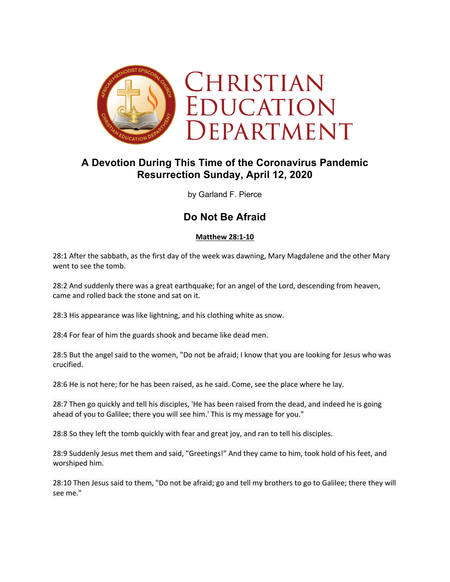

# **A Devotion During This Time of the Coronavirus Pandemic Resurrection Sunday, April 12, 2020**

by Garland F. Pierce

## **Do Not Be Afraid**

### **Matthew 28:1-10**

28:1 After the sabbath, as the first day of the week was dawning, Mary Magdalene and the other Mary went to see the tomb.

28:2 And suddenly there was a great earthquake; for an angel of the Lord, descending from heaven, came and rolled back the stone and sat on it.

28:3 His appearance was like lightning, and his clothing white as snow.

28:4 For fear of him the guards shook and became like dead men.

28:5 But the angel said to the women, "Do not be afraid; I know that you are looking for Jesus who was crucified.

28:6 He is not here; for he has been raised, as he said. Come, see the place where he lay.

28:7 Then go quickly and tell his disciples, 'He has been raised from the dead, and indeed he is going ahead of you to Galilee; there you will see him.' This is my message for you."

28:8 So they left the tomb quickly with fear and great joy, and ran to tell his disciples.

28:9 Suddenly Jesus met them and said, "Greetings!" And they came to him, took hold of his feet, and worshiped him.

28:10 Then Jesus said to them, "Do not be afraid; go and tell my brothers to go to Galilee; there they will see me."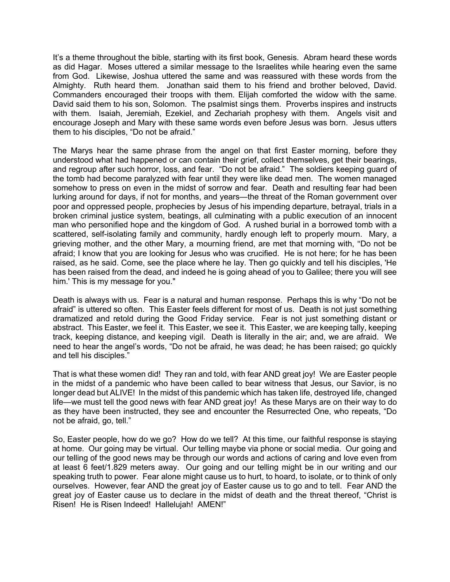It's a theme throughout the bible, starting with its first book, Genesis. Abram heard these words as did Hagar. Moses uttered a similar message to the Israelites while hearing even the same from God. Likewise, Joshua uttered the same and was reassured with these words from the Almighty. Ruth heard them. Jonathan said them to his friend and brother beloved, David. Commanders encouraged their troops with them. Elijah comforted the widow with the same. David said them to his son, Solomon. The psalmist sings them. Proverbs inspires and instructs with them. Isaiah, Jeremiah, Ezekiel, and Zechariah prophesy with them. Angels visit and encourage Joseph and Mary with these same words even before Jesus was born. Jesus utters them to his disciples, "Do not be afraid."

The Marys hear the same phrase from the angel on that first Easter morning, before they understood what had happened or can contain their grief, collect themselves, get their bearings, and regroup after such horror, loss, and fear. "Do not be afraid." The soldiers keeping guard of the tomb had become paralyzed with fear until they were like dead men. The women managed somehow to press on even in the midst of sorrow and fear. Death and resulting fear had been lurking around for days, if not for months, and years—the threat of the Roman government over poor and oppressed people, prophecies by Jesus of his impending departure, betrayal, trials in a broken criminal justice system, beatings, all culminating with a public execution of an innocent man who personified hope and the kingdom of God. A rushed burial in a borrowed tomb with a scattered, self-isolating family and community, hardly enough left to properly mourn. Mary, a grieving mother, and the other Mary, a mourning friend, are met that morning with, "Do not be afraid; I know that you are looking for Jesus who was crucified. He is not here; for he has been raised, as he said. Come, see the place where he lay. Then go quickly and tell his disciples, 'He has been raised from the dead, and indeed he is going ahead of you to Galilee; there you will see him.' This is my message for you."

Death is always with us. Fear is a natural and human response. Perhaps this is why "Do not be afraid" is uttered so often. This Easter feels different for most of us. Death is not just something dramatized and retold during the Good Friday service. Fear is not just something distant or abstract. This Easter, we feel it. This Easter, we see it. This Easter, we are keeping tally, keeping track, keeping distance, and keeping vigil. Death is literally in the air; and, we are afraid. We need to hear the angel's words, "Do not be afraid, he was dead; he has been raised; go quickly and tell his disciples."

That is what these women did! They ran and told, with fear AND great joy! We are Easter people in the midst of a pandemic who have been called to bear witness that Jesus, our Savior, is no longer dead but ALIVE! In the midst of this pandemic which has taken life, destroyed life, changed life—we must tell the good news with fear AND great joy! As these Marys are on their way to do as they have been instructed, they see and encounter the Resurrected One, who repeats, "Do not be afraid, go, tell."

So, Easter people, how do we go? How do we tell? At this time, our faithful response is staying at home. Our going may be virtual. Our telling maybe via phone or social media. Our going and our telling of the good news may be through our words and actions of caring and love even from at least 6 feet/1.829 meters away. Our going and our telling might be in our writing and our speaking truth to power. Fear alone might cause us to hurt, to hoard, to isolate, or to think of only ourselves. However, fear AND the great joy of Easter cause us to go and to tell. Fear AND the great joy of Easter cause us to declare in the midst of death and the threat thereof, "Christ is Risen! He is Risen Indeed! Hallelujah! AMEN!"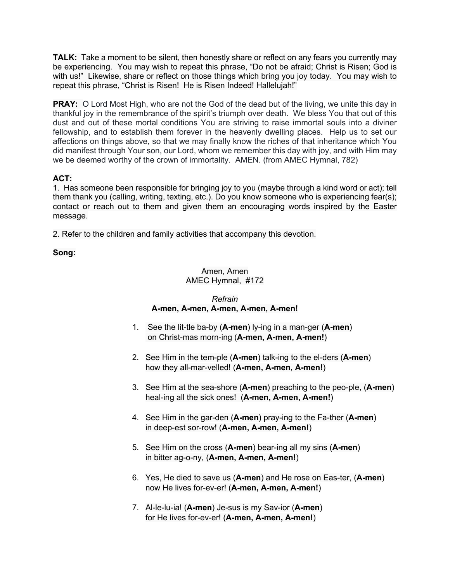**TALK:** Take a moment to be silent, then honestly share or reflect on any fears you currently may be experiencing. You may wish to repeat this phrase, "Do not be afraid; Christ is Risen; God is with us!" Likewise, share or reflect on those things which bring you joy today. You may wish to repeat this phrase, "Christ is Risen! He is Risen Indeed! Halleluiah!"

**PRAY:** O Lord Most High, who are not the God of the dead but of the living, we unite this day in thankful joy in the remembrance of the spirit's triumph over death. We bless You that out of this dust and out of these mortal conditions You are striving to raise immortal souls into a diviner fellowship, and to establish them forever in the heavenly dwelling places. Help us to set our affections on things above, so that we may finally know the riches of that inheritance which You did manifest through Your son, our Lord, whom we remember this day with joy, and with Him may we be deemed worthy of the crown of immortality. AMEN. (from AMEC Hymnal, 782)

## **ACT:**

1.Has someone been responsible for bringing joy to you (maybe through a kind word or act); tell them thank you (calling, writing, texting, etc.). Do you know someone who is experiencing fear(s); contact or reach out to them and given them an encouraging words inspired by the Easter message.

2. Refer to the children and family activities that accompany this devotion.

### **Song:**

### Amen, Amen AMEC Hymnal, #172

## *Refrain* **A-men, A-men, A-men, A-men, A-men!**

- 1. See the lit-tle ba-by (**A-men**) ly-ing in a man-ger (**A-men**) on Christ-mas morn-ing (**A-men, A-men, A-men!**)
- 2. See Him in the tem-ple (**A-men**) talk-ing to the el-ders (**A-men**) how they all-mar-velled! (**A-men, A-men, A-men!**)
- 3. See Him at the sea-shore (**A-men**) preaching to the peo-ple, (**A-men**) heal-ing all the sick ones! (**A-men, A-men, A-men!**)
- 4. See Him in the gar-den (**A-men**) pray-ing to the Fa-ther (**A-men**) in deep-est sor-row! (**A-men, A-men, A-men!**)
- 5. See Him on the cross (**A-men**) bear-ing all my sins (**A-men**) in bitter ag-o-ny, (**A-men, A-men, A-men!**)
- 6. Yes, He died to save us (**A-men**) and He rose on Eas-ter, (**A-men**) now He lives for-ev-er! (**A-men, A-men, A-men!**)
- 7. Al-le-lu-ia! (**A-men**) Je-sus is my Sav-ior (**A-men**) for He lives for-ev-er! (**A-men, A-men, A-men!**)